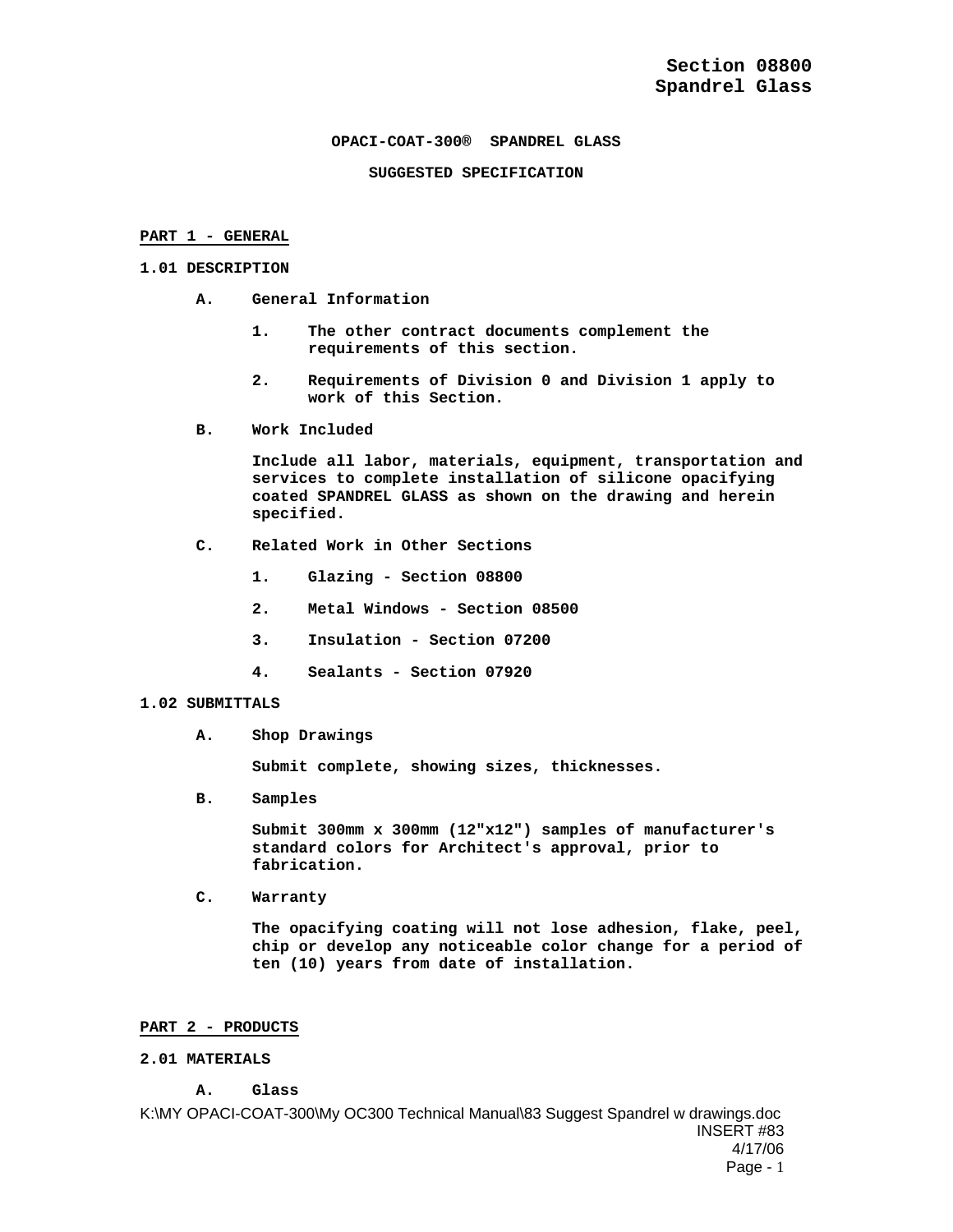# **OPACI-COAT-300® SPANDREL GLASS**

### **SUGGESTED SPECIFICATION**

### **PART 1 - GENERAL**

### **1.01 DESCRIPTION**

- **A. General Information** 
	- **1. The other contract documents complement the requirements of this section.**
	- **2. Requirements of Division 0 and Division 1 apply to work of this Section.**
- **B. Work Included**

**Include all labor, materials, equipment, transportation and services to complete installation of silicone opacifying coated SPANDREL GLASS as shown on the drawing and herein specified.** 

- **C. Related Work in Other Sections** 
	- **1. Glazing Section 08800**
	- **2. Metal Windows Section 08500**
	- **3. Insulation Section 07200**
	- **4. Sealants Section 07920**

# **1.02 SUBMITTALS**

**A. Shop Drawings** 

**Submit complete, showing sizes, thicknesses.** 

**B. Samples** 

**Submit 300mm x 300mm (12"x12") samples of manufacturer's standard colors for Architect's approval, prior to fabrication.** 

**C. Warranty** 

**The opacifying coating will not lose adhesion, flake, peel, chip or develop any noticeable color change for a period of ten (10) years from date of installation.** 

# **PART 2 - PRODUCTS**

# **2.01 MATERIALS**

**A. Glass** 

K:\MY OPACI-COAT-300\My OC300 Technical Manual\83 Suggest Spandrel w drawings.doc INSERT #83 4/17/06 Page - 1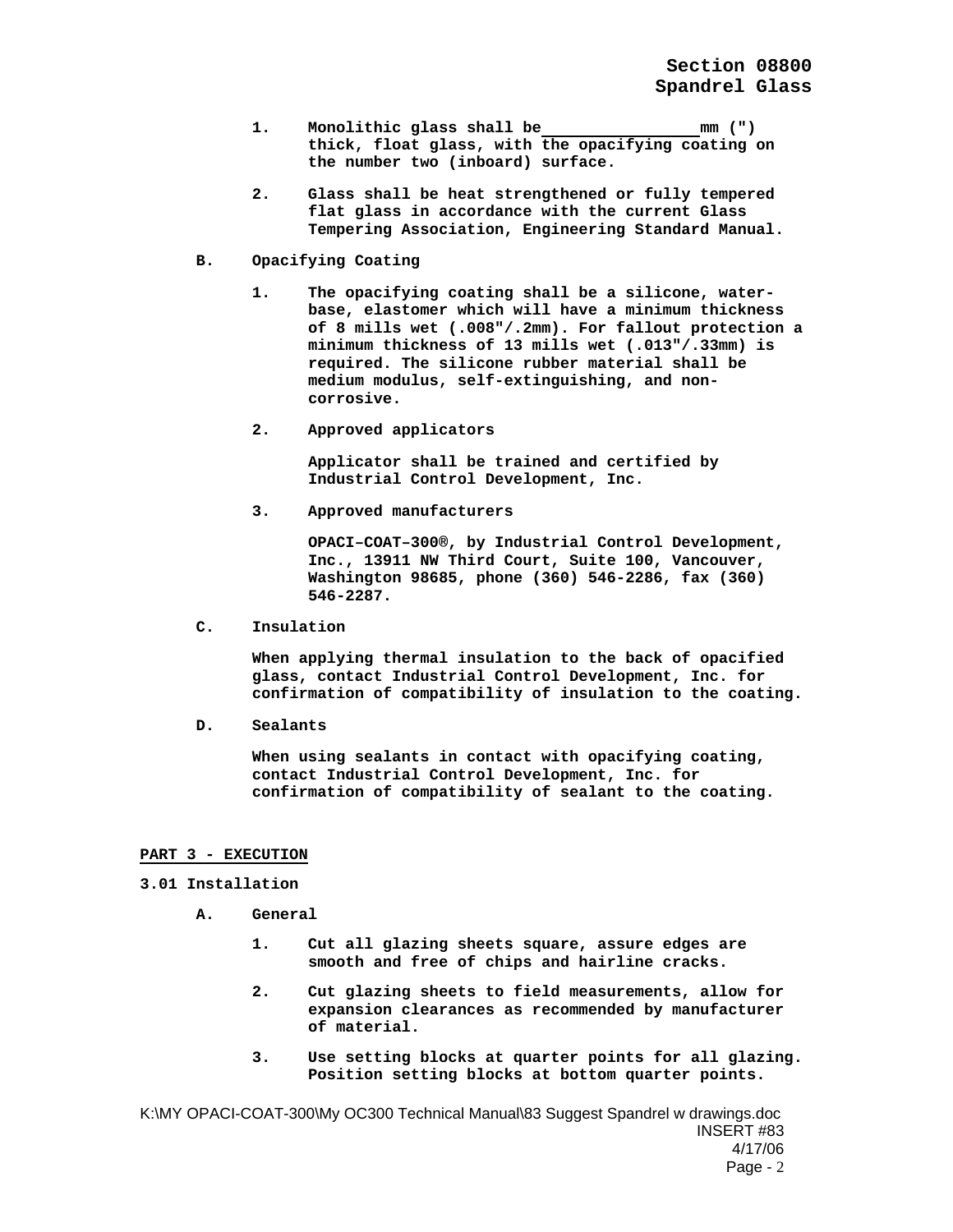- **1. Monolithic glass shall be mm (") thick, float glass, with the opacifying coating on the number two (inboard) surface.**
- **2. Glass shall be heat strengthened or fully tempered flat glass in accordance with the current Glass Tempering Association, Engineering Standard Manual.**
- **B. Opacifying Coating** 
	- **1. The opacifying coating shall be a silicone, waterbase, elastomer which will have a minimum thickness of 8 mills wet (.008"/.2mm). For fallout protection a minimum thickness of 13 mills wet (.013"/.33mm) is required. The silicone rubber material shall be medium modulus, self-extinguishing, and noncorrosive.**
	- **2. Approved applicators**

**Applicator shall be trained and certified by Industrial Control Development, Inc.** 

**3. Approved manufacturers** 

**OPACI–COAT–300®, by Industrial Control Development, Inc., 13911 NW Third Court, Suite 100, Vancouver, Washington 98685, phone (360) 546-2286, fax (360) 546-2287.** 

**C. Insulation** 

**When applying thermal insulation to the back of opacified glass, contact Industrial Control Development, Inc. for confirmation of compatibility of insulation to the coating.** 

**D. Sealants** 

**When using sealants in contact with opacifying coating, contact Industrial Control Development, Inc. for confirmation of compatibility of sealant to the coating.** 

# **PART 3 - EXECUTION**

**3.01 Installation** 

- **A. General** 
	- **1. Cut all glazing sheets square, assure edges are smooth and free of chips and hairline cracks.**
	- **2. Cut glazing sheets to field measurements, allow for expansion clearances as recommended by manufacturer of material.**
	- **3. Use setting blocks at quarter points for all glazing. Position setting blocks at bottom quarter points.**

K:\MY OPACI-COAT-300\My OC300 Technical Manual\83 Suggest Spandrel w drawings.doc INSERT #83 4/17/06 Page - 2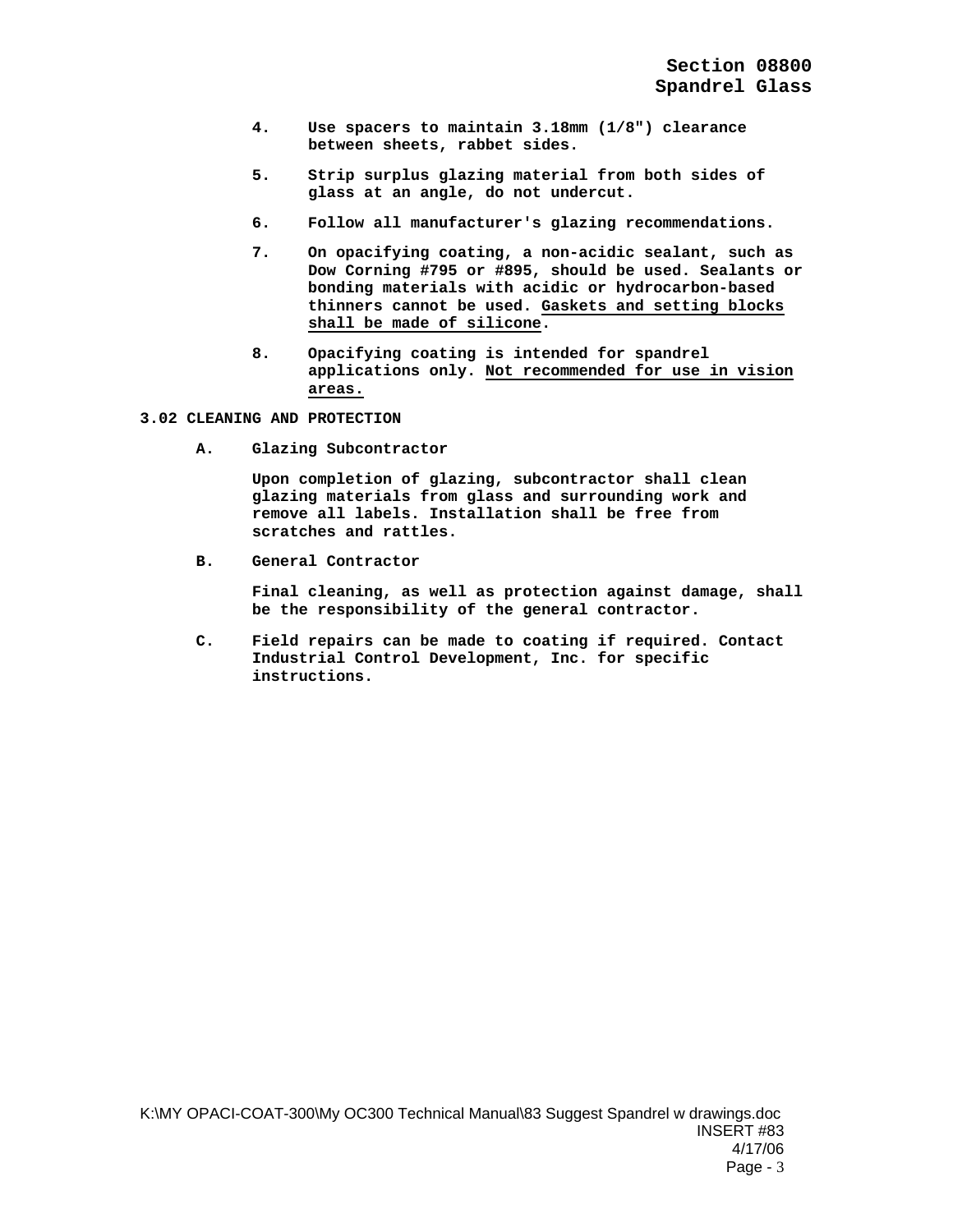- **4. Use spacers to maintain 3.18mm (1/8") clearance between sheets, rabbet sides.**
- **5. Strip surplus glazing material from both sides of glass at an angle, do not undercut.**
- **6. Follow all manufacturer's glazing recommendations.**
- **7. On opacifying coating, a non-acidic sealant, such as Dow Corning #795 or #895, should be used. Sealants or bonding materials with acidic or hydrocarbon-based thinners cannot be used. Gaskets and setting blocks shall be made of silicone.**
- **8. Opacifying coating is intended for spandrel applications only. Not recommended for use in vision areas.**

### **3.02 CLEANING AND PROTECTION**

**A. Glazing Subcontractor** 

**Upon completion of glazing, subcontractor shall clean glazing materials from glass and surrounding work and remove all labels. Installation shall be free from scratches and rattles.** 

**B. General Contractor** 

**Final cleaning, as well as protection against damage, shall be the responsibility of the general contractor.** 

**C. Field repairs can be made to coating if required. Contact Industrial Control Development, Inc. for specific instructions.**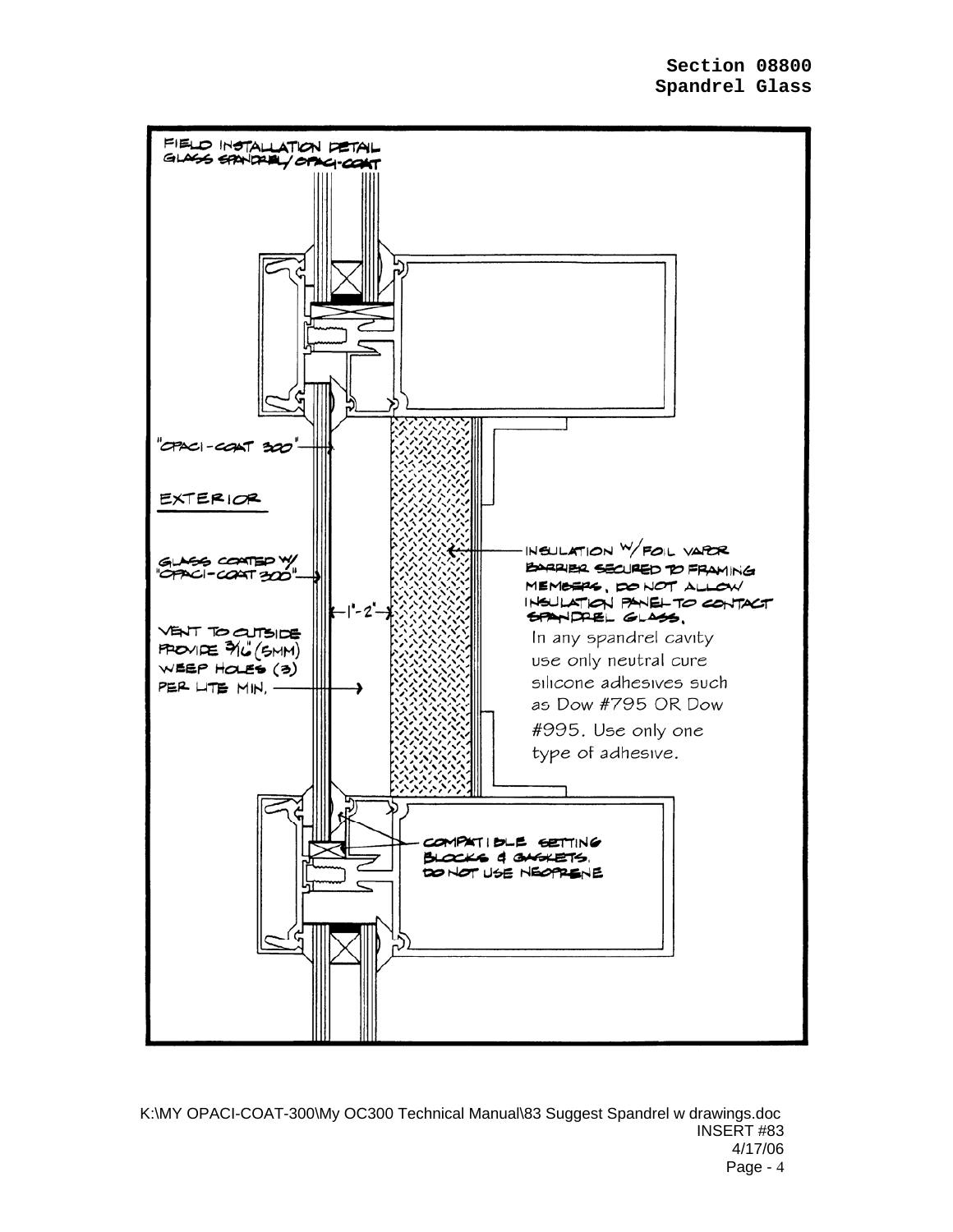